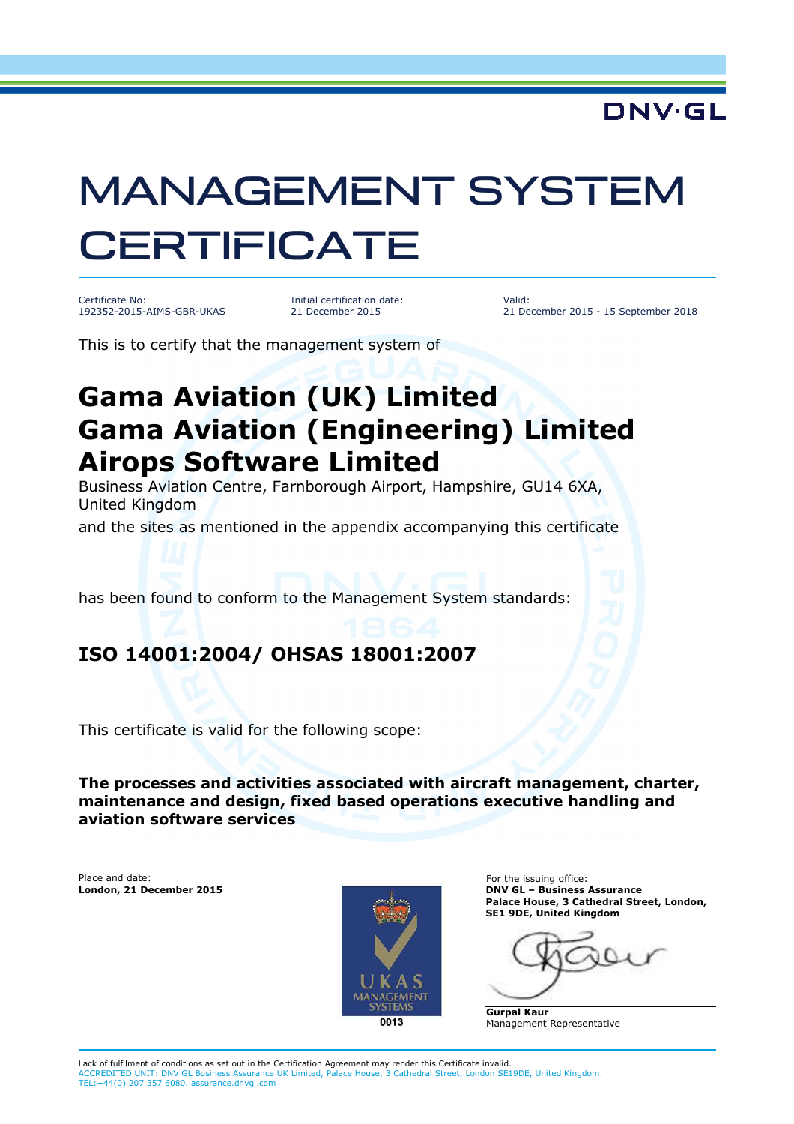### **DNV·GL**

# MANAGEMENT SYSTEM **CERTIFICATE**

Certificate No: 192352-2015-AIMS-GBR-UKAS

Initial certification date: 21 December 2015

Valid: 21 December 2015 - 15 September 2018

This is to certify that the management system of

# **Gama Aviation (UK) Limited Gama Aviation (Engineering) Limited Airops Software Limited**

Business Aviation Centre, Farnborough Airport, Hampshire, GU14 6XA, United Kingdom

and the sites as mentioned in the appendix accompanying this certificate

has been found to conform to the Management System standards:

#### **ISO 14001:2004/ OHSAS 18001:2007**

This certificate is valid for the following scope:

**The processes and activities associated with aircraft management, charter, maintenance and design, fixed based operations executive handling and aviation software services** 

Place and date:



For the issuing office: **London, 21 December 2015 DNV GL – Business Assurance Palace House, 3 Cathedral Street, London, SE1 9DE, United Kingdom** 

**Gurpal Kaur** Management Representative

Lack of fulfilment of conditions as set out in the Certification Agreement may render this Certificate invalid. ACCREDITED UNIT: DNV GL Business Assurance UK Limited, Palace House, 3 Cathedral Street, London SE19DE, United Kingdom. TEL:+44(0) 207 357 6080. assurance.dnvgl.com